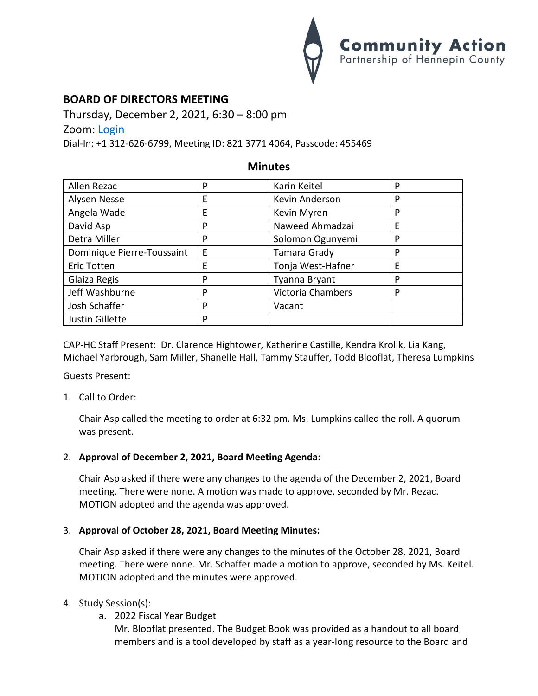

# **BOARD OF DIRECTORS MEETING**

Thursday, December 2, 2021, 6:30 – 8:00 pm Zoom: [Login](https://us02web.zoom.us/j/82137714064?pwd=N1dZY3NqWXFUbGR2UGZGdWdTNkNDdz09) Dial-In: +1 312-626-6799, Meeting ID: 821 3771 4064, Passcode: 455469

## **Minutes**

| Allen Rezac                | P | Karin Keitel      | P |
|----------------------------|---|-------------------|---|
| Alysen Nesse               | E | Kevin Anderson    | P |
| Angela Wade                | E | Kevin Myren       | P |
| David Asp                  | P | Naweed Ahmadzai   | Е |
| Detra Miller               | P | Solomon Ogunyemi  | P |
| Dominique Pierre-Toussaint | E | Tamara Grady      | P |
| <b>Eric Totten</b>         | E | Tonja West-Hafner | E |
| Glaiza Regis               | P | Tyanna Bryant     | P |
| Jeff Washburne             | P | Victoria Chambers | P |
| Josh Schaffer              | P | Vacant            |   |
| Justin Gillette            | P |                   |   |

CAP-HC Staff Present: Dr. Clarence Hightower, Katherine Castille, Kendra Krolik, Lia Kang, Michael Yarbrough, Sam Miller, Shanelle Hall, Tammy Stauffer, Todd Blooflat, Theresa Lumpkins

Guests Present:

1. Call to Order:

Chair Asp called the meeting to order at 6:32 pm. Ms. Lumpkins called the roll. A quorum was present.

#### 2. **Approval of December 2, 2021, Board Meeting Agenda:**

Chair Asp asked if there were any changes to the agenda of the December 2, 2021, Board meeting. There were none. A motion was made to approve, seconded by Mr. Rezac. MOTION adopted and the agenda was approved.

#### 3. **Approval of October 28, 2021, Board Meeting Minutes:**

Chair Asp asked if there were any changes to the minutes of the October 28, 2021, Board meeting. There were none. Mr. Schaffer made a motion to approve, seconded by Ms. Keitel. MOTION adopted and the minutes were approved.

#### 4. Study Session(s):

a. 2022 Fiscal Year Budget

Mr. Blooflat presented. The Budget Book was provided as a handout to all board members and is a tool developed by staff as a year-long resource to the Board and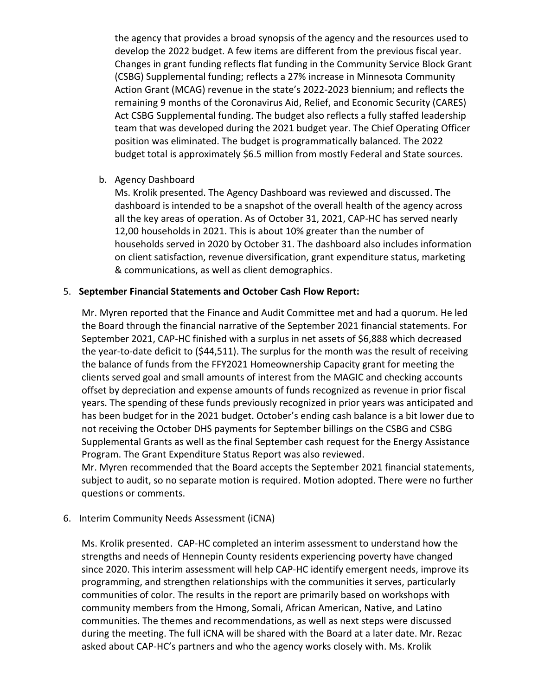the agency that provides a broad synopsis of the agency and the resources used to develop the 2022 budget. A few items are different from the previous fiscal year. Changes in grant funding reflects flat funding in the Community Service Block Grant (CSBG) Supplemental funding; reflects a 27% increase in Minnesota Community Action Grant (MCAG) revenue in the state's 2022-2023 biennium; and reflects the remaining 9 months of the Coronavirus Aid, Relief, and Economic Security (CARES) Act CSBG Supplemental funding. The budget also reflects a fully staffed leadership team that was developed during the 2021 budget year. The Chief Operating Officer position was eliminated. The budget is programmatically balanced. The 2022 budget total is approximately \$6.5 million from mostly Federal and State sources.

#### b. Agency Dashboard

Ms. Krolik presented. The Agency Dashboard was reviewed and discussed. The dashboard is intended to be a snapshot of the overall health of the agency across all the key areas of operation. As of October 31, 2021, CAP-HC has served nearly 12,00 households in 2021. This is about 10% greater than the number of households served in 2020 by October 31. The dashboard also includes information on client satisfaction, revenue diversification, grant expenditure status, marketing & communications, as well as client demographics.

#### 5. **September Financial Statements and October Cash Flow Report:**

Mr. Myren reported that the Finance and Audit Committee met and had a quorum. He led the Board through the financial narrative of the September 2021 financial statements. For September 2021, CAP-HC finished with a surplus in net assets of \$6,888 which decreased the year-to-date deficit to (\$44,511). The surplus for the month was the result of receiving the balance of funds from the FFY2021 Homeownership Capacity grant for meeting the clients served goal and small amounts of interest from the MAGIC and checking accounts offset by depreciation and expense amounts of funds recognized as revenue in prior fiscal years. The spending of these funds previously recognized in prior years was anticipated and has been budget for in the 2021 budget. October's ending cash balance is a bit lower due to not receiving the October DHS payments for September billings on the CSBG and CSBG Supplemental Grants as well as the final September cash request for the Energy Assistance Program. The Grant Expenditure Status Report was also reviewed.

Mr. Myren recommended that the Board accepts the September 2021 financial statements, subject to audit, so no separate motion is required. Motion adopted. There were no further questions or comments.

#### 6. Interim Community Needs Assessment (iCNA)

Ms. Krolik presented. CAP-HC completed an interim assessment to understand how the strengths and needs of Hennepin County residents experiencing poverty have changed since 2020. This interim assessment will help CAP-HC identify emergent needs, improve its programming, and strengthen relationships with the communities it serves, particularly communities of color. The results in the report are primarily based on workshops with community members from the Hmong, Somali, African American, Native, and Latino communities. The themes and recommendations, as well as next steps were discussed during the meeting. The full iCNA will be shared with the Board at a later date. Mr. Rezac asked about CAP-HC's partners and who the agency works closely with. Ms. Krolik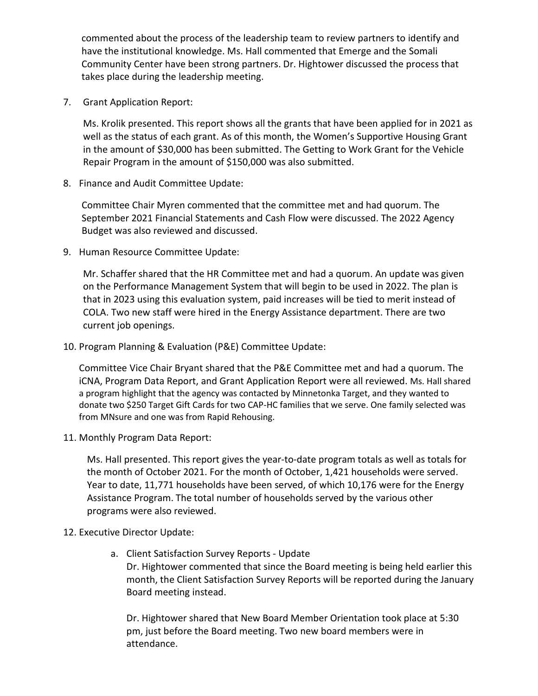commented about the process of the leadership team to review partners to identify and have the institutional knowledge. Ms. Hall commented that Emerge and the Somali Community Center have been strong partners. Dr. Hightower discussed the process that takes place during the leadership meeting.

7. Grant Application Report:

Ms. Krolik presented. This report shows all the grants that have been applied for in 2021 as well as the status of each grant. As of this month, the Women's Supportive Housing Grant in the amount of \$30,000 has been submitted. The Getting to Work Grant for the Vehicle Repair Program in the amount of \$150,000 was also submitted.

8. Finance and Audit Committee Update:

Committee Chair Myren commented that the committee met and had quorum. The September 2021 Financial Statements and Cash Flow were discussed. The 2022 Agency Budget was also reviewed and discussed.

9. Human Resource Committee Update:

Mr. Schaffer shared that the HR Committee met and had a quorum. An update was given on the Performance Management System that will begin to be used in 2022. The plan is that in 2023 using this evaluation system, paid increases will be tied to merit instead of COLA. Two new staff were hired in the Energy Assistance department. There are two current job openings.

10. Program Planning & Evaluation (P&E) Committee Update:

Committee Vice Chair Bryant shared that the P&E Committee met and had a quorum. The iCNA, Program Data Report, and Grant Application Report were all reviewed. Ms. Hall shared a program highlight that the agency was contacted by Minnetonka Target, and they wanted to donate two \$250 Target Gift Cards for two CAP-HC families that we serve. One family selected was from MNsure and one was from Rapid Rehousing.

11. Monthly Program Data Report:

Ms. Hall presented. This report gives the year-to-date program totals as well as totals for the month of October 2021. For the month of October, 1,421 households were served. Year to date, 11,771 households have been served, of which 10,176 were for the Energy Assistance Program. The total number of households served by the various other programs were also reviewed.

- 12. Executive Director Update:
	- a. Client Satisfaction Survey Reports Update Dr. Hightower commented that since the Board meeting is being held earlier this month, the Client Satisfaction Survey Reports will be reported during the January Board meeting instead.

Dr. Hightower shared that New Board Member Orientation took place at 5:30 pm, just before the Board meeting. Two new board members were in attendance.